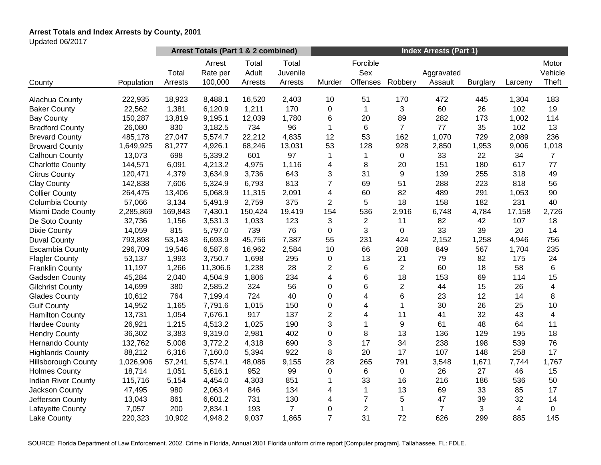# **Arrest Totals and Index Arrests by County, 2001**

Updated 06/2017

|                            |            | Arrest Totals (Part 1 & 2 combined) |                               |                           |                              | <b>Index Arrests (Part 1)</b> |                             |                |                       |                 |         |                           |
|----------------------------|------------|-------------------------------------|-------------------------------|---------------------------|------------------------------|-------------------------------|-----------------------------|----------------|-----------------------|-----------------|---------|---------------------------|
| County                     | Population | Total<br>Arrests                    | Arrest<br>Rate per<br>100,000 | Total<br>Adult<br>Arrests | Total<br>Juvenile<br>Arrests | Murder                        | Forcible<br>Sex<br>Offenses | Robbery        | Aggravated<br>Assault | <b>Burglary</b> | Larceny | Motor<br>Vehicle<br>Theft |
|                            |            |                                     |                               |                           |                              |                               |                             |                |                       |                 |         |                           |
| Alachua County             | 222,935    | 18,923                              | 8,488.1                       | 16,520                    | 2,403                        | 10                            | 51                          | 170            | 472                   | 445             | 1,304   | 183                       |
| <b>Baker County</b>        | 22,562     | 1,381                               | 6,120.9                       | 1,211                     | 170                          | 0                             | 1                           | 3              | 60                    | 26              | 102     | 19                        |
| <b>Bay County</b>          | 150,287    | 13,819                              | 9,195.1                       | 12,039                    | 1,780                        | 6                             | 20                          | 89             | 282                   | 173             | 1,002   | 114                       |
| <b>Bradford County</b>     | 26,080     | 830                                 | 3,182.5                       | 734                       | 96                           | 1                             | 6                           | $\overline{7}$ | 77                    | 35              | 102     | 13                        |
| <b>Brevard County</b>      | 485,178    | 27,047                              | 5,574.7                       | 22,212                    | 4,835                        | 12                            | 53                          | 162            | 1,070                 | 729             | 2,089   | 236                       |
| <b>Broward County</b>      | 1,649,925  | 81,277                              | 4,926.1                       | 68,246                    | 13,031                       | 53                            | 128                         | 928            | 2,850                 | 1,953           | 9,006   | 1,018                     |
| Calhoun County             | 13,073     | 698                                 | 5,339.2                       | 601                       | 97                           | 1                             | 1                           | $\pmb{0}$      | 33                    | 22              | 34      | $\overline{7}$            |
| <b>Charlotte County</b>    | 144,571    | 6,091                               | 4,213.2                       | 4,975                     | 1,116                        | 4                             | 8                           | 20             | 151                   | 180             | 617     | 77                        |
| <b>Citrus County</b>       | 120,471    | 4,379                               | 3,634.9                       | 3,736                     | 643                          | 3                             | 31                          | 9              | 139                   | 255             | 318     | 49                        |
| <b>Clay County</b>         | 142,838    | 7,606                               | 5,324.9                       | 6,793                     | 813                          | $\overline{7}$                | 69                          | 51             | 288                   | 223             | 818     | 56                        |
| <b>Collier County</b>      | 264,475    | 13,406                              | 5,068.9                       | 11,315                    | 2,091                        | 4                             | 60                          | 82             | 489                   | 291             | 1,053   | 90                        |
| Columbia County            | 57,066     | 3,134                               | 5,491.9                       | 2,759                     | 375                          | $\overline{2}$                | 5                           | 18             | 158                   | 182             | 231     | 40                        |
| Miami Dade County          | 2,285,869  | 169,843                             | 7,430.1                       | 150,424                   | 19,419                       | 154                           | 536                         | 2,916          | 6,748                 | 4,784           | 17,158  | 2,726                     |
| De Soto County             | 32,736     | 1,156                               | 3,531.3                       | 1,033                     | 123                          | 3                             | $\overline{2}$              | 11             | 82                    | 42              | 107     | 18                        |
| <b>Dixie County</b>        | 14,059     | 815                                 | 5,797.0                       | 739                       | 76                           | 0                             | 3                           | $\mathbf 0$    | 33                    | 39              | 20      | 14                        |
| <b>Duval County</b>        | 793,898    | 53,143                              | 6,693.9                       | 45,756                    | 7,387                        | 55                            | 231                         | 424            | 2,152                 | 1,258           | 4,946   | 756                       |
| <b>Escambia County</b>     | 296,709    | 19,546                              | 6,587.6                       | 16,962                    | 2,584                        | 10                            | 66                          | 208            | 849                   | 567             | 1,704   | 235                       |
| <b>Flagler County</b>      | 53,137     | 1,993                               | 3,750.7                       | 1,698                     | 295                          | 0                             | 13                          | 21             | 79                    | 82              | 175     | 24                        |
| <b>Franklin County</b>     | 11,197     | 1,266                               | 11,306.6                      | 1,238                     | 28                           | $\mathbf{2}$                  | 6                           | $\overline{c}$ | 60                    | 18              | 58      | 6                         |
| Gadsden County             | 45,284     | 2,040                               | 4,504.9                       | 1,806                     | 234                          | 4                             | 6                           | 18             | 153                   | 69              | 114     | 15                        |
| <b>Gilchrist County</b>    | 14,699     | 380                                 | 2,585.2                       | 324                       | 56                           | 0                             | 6                           | $\overline{2}$ | 44                    | 15              | 26      | 4                         |
| <b>Glades County</b>       | 10,612     | 764                                 | 7,199.4                       | 724                       | 40                           | 0                             | 4                           | 6              | 23                    | 12              | 14      | 8                         |
| <b>Gulf County</b>         | 14,952     | 1,165                               | 7,791.6                       | 1,015                     | 150                          | 0                             | 4                           | 1              | 30                    | 26              | 25      | 10                        |
| <b>Hamilton County</b>     | 13,731     | 1,054                               | 7,676.1                       | 917                       | 137                          | $\overline{c}$                | 4                           | 11             | 41                    | 32              | 43      | $\overline{4}$            |
| <b>Hardee County</b>       | 26,921     | 1,215                               | 4,513.2                       | 1,025                     | 190                          | 3                             | 1                           | 9              | 61                    | 48              | 64      | 11                        |
| <b>Hendry County</b>       | 36,302     | 3,383                               | 9,319.0                       | 2,981                     | 402                          | 0                             | 8                           | 13             | 136                   | 129             | 195     | 18                        |
| <b>Hernando County</b>     | 132,762    | 5,008                               | 3,772.2                       | 4,318                     | 690                          | 3                             | 17                          | 34             | 238                   | 198             | 539     | 76                        |
| <b>Highlands County</b>    | 88,212     | 6,316                               | 7,160.0                       | 5,394                     | 922                          | 8                             | 20                          | 17             | 107                   | 148             | 258     | 17                        |
| <b>Hillsborough County</b> | 1,026,906  | 57,241                              | 5,574.1                       | 48,086                    | 9,155                        | 28                            | 265                         | 791            | 3,548                 | 1,671           | 7,744   | 1,767                     |
| <b>Holmes County</b>       | 18,714     | 1,051                               | 5,616.1                       | 952                       | 99                           | 0                             | 6                           | $\mathbf 0$    | 26                    | 27              | 46      | 15                        |
| <b>Indian River County</b> | 115,716    | 5,154                               | 4,454.0                       | 4,303                     | 851                          | 1                             | 33                          | 16             | 216                   | 186             | 536     | 50                        |
| Jackson County             | 47,495     | 980                                 | 2,063.4                       | 846                       | 134                          | 4                             | $\mathbf{1}$                | 13             | 69                    | 33              | 85      | 17                        |
| Jefferson County           | 13,043     | 861                                 | 6,601.2                       | 731                       | 130                          | 4                             | 7                           | 5              | 47                    | 39              | 32      | 14                        |
| Lafayette County           | 7,057      | 200                                 | 2,834.1                       | 193                       | 7                            | 0                             | $\overline{2}$              | 1              | $\overline{7}$        | 3               | 4       | 0                         |
| Lake County                | 220,323    | 10,902                              | 4,948.2                       | 9,037                     | 1,865                        | $\overline{7}$                | 31                          | 72             | 626                   | 299             | 885     | 145                       |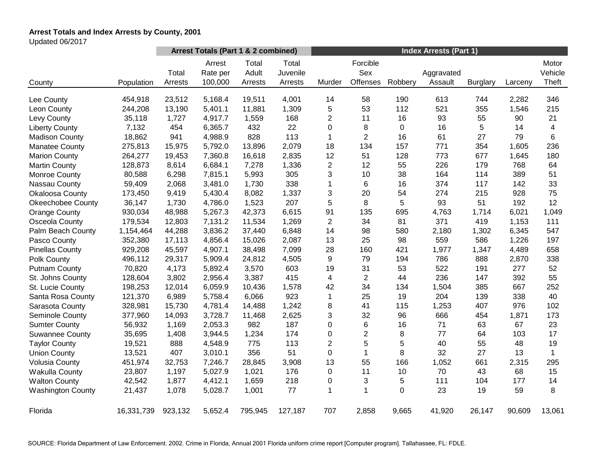# **Arrest Totals and Index Arrests by County, 2001**

Updated 06/2017

|                          |            | Arrest Totals (Part 1 & 2 combined) |                               |                           |                              | <b>Index Arrests (Part 1)</b> |                             |         |                       |                 |         |                           |
|--------------------------|------------|-------------------------------------|-------------------------------|---------------------------|------------------------------|-------------------------------|-----------------------------|---------|-----------------------|-----------------|---------|---------------------------|
| County                   | Population | Total<br>Arrests                    | Arrest<br>Rate per<br>100,000 | Total<br>Adult<br>Arrests | Total<br>Juvenile<br>Arrests | Murder                        | Forcible<br>Sex<br>Offenses | Robbery | Aggravated<br>Assault | <b>Burglary</b> | Larceny | Motor<br>Vehicle<br>Theft |
| Lee County               | 454,918    | 23,512                              | 5,168.4                       | 19,511                    | 4,001                        | 14                            | 58                          | 190     | 613                   | 744             | 2,282   | 346                       |
| Leon County              | 244,208    | 13,190                              | 5,401.1                       | 11,881                    | 1,309                        | 5                             | 53                          | 112     | 521                   | 355             | 1,546   | 215                       |
| Levy County              | 35,118     | 1,727                               | 4,917.7                       | 1,559                     | 168                          | $\overline{2}$                | 11                          | 16      | 93                    | 55              | 90      | 21                        |
| <b>Liberty County</b>    | 7,132      | 454                                 | 6,365.7                       | 432                       | 22                           | $\pmb{0}$                     | 8                           | 0       | 16                    | 5               | 14      | 4                         |
| <b>Madison County</b>    | 18,862     | 941                                 | 4,988.9                       | 828                       | 113                          | $\mathbf 1$                   | $\overline{2}$              | 16      | 61                    | 27              | 79      | 6                         |
| <b>Manatee County</b>    | 275,813    | 15,975                              | 5,792.0                       | 13,896                    | 2,079                        | 18                            | 134                         | 157     | 771                   | 354             | 1,605   | 236                       |
| <b>Marion County</b>     | 264,277    | 19,453                              | 7,360.8                       | 16,618                    | 2,835                        | 12                            | 51                          | 128     | 773                   | 677             | 1,645   | 180                       |
| <b>Martin County</b>     | 128,873    | 8,614                               | 6,684.1                       | 7,278                     | 1,336                        | $\overline{2}$                | 12                          | 55      | 226                   | 179             | 768     | 64                        |
| <b>Monroe County</b>     | 80,588     | 6,298                               | 7,815.1                       | 5,993                     | 305                          | 3                             | 10                          | 38      | 164                   | 114             | 389     | 51                        |
| Nassau County            | 59,409     | 2,068                               | 3,481.0                       | 1,730                     | 338                          | $\mathbf{1}$                  | 6                           | 16      | 374                   | 117             | 142     | 33                        |
| Okaloosa County          | 173,450    | 9,419                               | 5,430.4                       | 8,082                     | 1,337                        | 3                             | 20                          | 54      | 274                   | 215             | 928     | 75                        |
| <b>Okeechobee County</b> | 36,147     | 1,730                               | 4,786.0                       | 1,523                     | 207                          | 5                             | 8                           | 5       | 93                    | 51              | 192     | 12                        |
| <b>Orange County</b>     | 930,034    | 48,988                              | 5,267.3                       | 42,373                    | 6,615                        | 91                            | 135                         | 695     | 4,763                 | 1,714           | 6,021   | 1,049                     |
| Osceola County           | 179,534    | 12,803                              | 7,131.2                       | 11,534                    | 1,269                        | 2                             | 34                          | 81      | 371                   | 419             | 1,153   | 111                       |
| Palm Beach County        | 1,154,464  | 44,288                              | 3,836.2                       | 37,440                    | 6,848                        | 14                            | 98                          | 580     | 2,180                 | 1,302           | 6,345   | 547                       |
| Pasco County             | 352,380    | 17,113                              | 4,856.4                       | 15,026                    | 2,087                        | 13                            | 25                          | 98      | 559                   | 586             | 1,226   | 197                       |
| <b>Pinellas County</b>   | 929,208    | 45,597                              | 4,907.1                       | 38,498                    | 7,099                        | 28                            | 160                         | 421     | 1,977                 | 1,347           | 4,489   | 658                       |
| Polk County              | 496,112    | 29,317                              | 5,909.4                       | 24,812                    | 4,505                        | 9                             | 79                          | 194     | 786                   | 888             | 2,870   | 338                       |
| <b>Putnam County</b>     | 70,820     | 4,173                               | 5,892.4                       | 3,570                     | 603                          | 19                            | 31                          | 53      | 522                   | 191             | 277     | 52                        |
| St. Johns County         | 128,604    | 3,802                               | 2,956.4                       | 3,387                     | 415                          | 4                             | $\overline{2}$              | 44      | 236                   | 147             | 392     | 55                        |
| St. Lucie County         | 198,253    | 12,014                              | 6,059.9                       | 10,436                    | 1,578                        | 42                            | 34                          | 134     | 1,504                 | 385             | 667     | 252                       |
| Santa Rosa County        | 121,370    | 6,989                               | 5,758.4                       | 6,066                     | 923                          | 1                             | 25                          | 19      | 204                   | 139             | 338     | 40                        |
| Sarasota County          | 328,981    | 15,730                              | 4,781.4                       | 14,488                    | 1,242                        | 8                             | 41                          | 115     | 1,253                 | 407             | 976     | 102                       |
| Seminole County          | 377,960    | 14,093                              | 3,728.7                       | 11,468                    | 2,625                        | 3                             | 32                          | 96      | 666                   | 454             | 1,871   | 173                       |
| <b>Sumter County</b>     | 56,932     | 1,169                               | 2,053.3                       | 982                       | 187                          | $\mathbf 0$                   | 6                           | 16      | 71                    | 63              | 67      | 23                        |
| <b>Suwannee County</b>   | 35,695     | 1,408                               | 3,944.5                       | 1,234                     | 174                          | 0                             | $\overline{2}$              | 8       | 77                    | 64              | 103     | 17                        |
| <b>Taylor County</b>     | 19,521     | 888                                 | 4,548.9                       | 775                       | 113                          | $\overline{2}$                | 5                           | 5       | 40                    | 55              | 48      | 19                        |
| <b>Union County</b>      | 13,521     | 407                                 | 3,010.1                       | 356                       | 51                           | $\boldsymbol{0}$              | $\mathbf{1}$                | 8       | 32                    | 27              | 13      | $\mathbf{1}$              |
| <b>Volusia County</b>    | 451,974    | 32,753                              | 7,246.7                       | 28,845                    | 3,908                        | 13                            | 55                          | 166     | 1,052                 | 661             | 2,315   | 295                       |
| <b>Wakulla County</b>    | 23,807     | 1,197                               | 5,027.9                       | 1,021                     | 176                          | 0                             | 11                          | 10      | 70                    | 43              | 68      | 15                        |
| <b>Walton County</b>     | 42,542     | 1,877                               | 4,412.1                       | 1,659                     | 218                          | 0                             | 3                           | 5       | 111                   | 104             | 177     | 14                        |
| <b>Washington County</b> | 21,437     | 1,078                               | 5,028.7                       | 1,001                     | 77                           | 1                             | $\mathbf{1}$                | 0       | 23                    | 19              | 59      | 8                         |
| Florida                  | 16,331,739 | 923,132                             | 5,652.4                       | 795,945                   | 127,187                      | 707                           | 2,858                       | 9,665   | 41,920                | 26,147          | 90,609  | 13,061                    |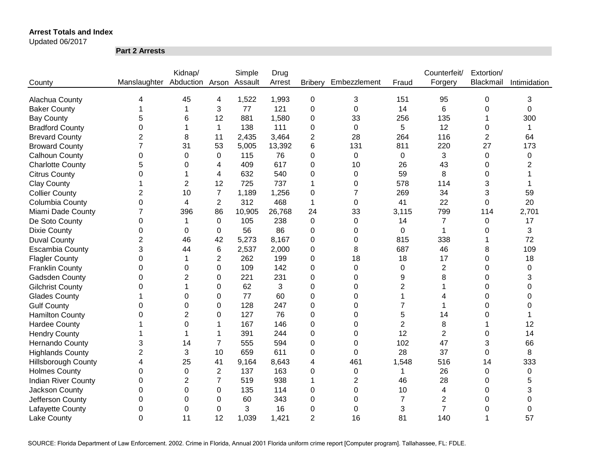Updated 06/2017

**Part 2 Arrests**

|                            |                              | Kidnap/        |                | Simple  | Drug   |                |                  |                | Counterfeit/   | Extortion/     |              |
|----------------------------|------------------------------|----------------|----------------|---------|--------|----------------|------------------|----------------|----------------|----------------|--------------|
| County                     | Manslaughter Abduction Arson |                |                | Assault | Arrest | <b>Bribery</b> | Embezzlement     | Fraud          | Forgery        | Blackmail      | Intimidation |
|                            |                              |                |                |         |        |                |                  |                |                |                |              |
| Alachua County             | 4                            | 45             | 4              | 1,522   | 1,993  | $\mathbf 0$    | 3                | 151            | 95             | 0              | 3            |
| <b>Baker County</b>        |                              |                | 3              | 77      | 121    | 0              | $\mathbf 0$      | 14             | 6              | 0              | 0            |
| <b>Bay County</b>          | 5                            | 6              | 12             | 881     | 1,580  | 0              | 33               | 256            | 135            |                | 300          |
| <b>Bradford County</b>     | 0                            |                | $\mathbf 1$    | 138     | 111    | 0              | $\mathbf 0$      | 5              | 12             | 0              | 1            |
| <b>Brevard County</b>      | $\overline{2}$               | 8              | 11             | 2,435   | 3,464  | $\overline{2}$ | 28               | 264            | 116            | $\overline{2}$ | 64           |
| <b>Broward County</b>      | 7                            | 31             | 53             | 5,005   | 13,392 | 6              | 131              | 811            | 220            | 27             | 173          |
| <b>Calhoun County</b>      | 0                            | $\Omega$       | 0              | 115     | 76     | 0              | 0                | 0              | 3              | 0              | 0            |
| <b>Charlotte County</b>    | 5                            | 0              | 4              | 409     | 617    | 0              | 10               | 26             | 43             | 0              | 2            |
| <b>Citrus County</b>       | 0                            |                | 4              | 632     | 540    | 0              | 0                | 59             | 8              | 0              |              |
| <b>Clay County</b>         | 1                            | $\overline{2}$ | 12             | 725     | 737    | 1              | 0                | 578            | 114            | 3              |              |
| <b>Collier County</b>      | 2                            | 10             | $\overline{7}$ | 1,189   | 1,256  | 0              | 7                | 269            | 34             | 3              | 59           |
| Columbia County            | 0                            | 4              | $\overline{2}$ | 312     | 468    | 1              | 0                | 41             | 22             | 0              | 20           |
| Miami Dade County          | $\overline{7}$               | 396            | 86             | 10,905  | 26,768 | 24             | 33               | 3,115          | 799            | 114            | 2,701        |
| De Soto County             | 0                            | 1              | $\Omega$       | 105     | 238    | 0              | $\Omega$         | 14             | $\overline{7}$ | $\Omega$       | 17           |
| <b>Dixie County</b>        | 0                            | 0              | 0              | 56      | 86     | 0              | $\Omega$         | 0              | 1              | 0              | 3            |
| <b>Duval County</b>        | $\overline{2}$               | 46             | 42             | 5,273   | 8,167  | 0              | $\Omega$         | 815            | 338            |                | 72           |
| <b>Escambia County</b>     | 3                            | 44             | 6              | 2,537   | 2,000  | 0              | 8                | 687            | 46             | 8              | 109          |
| <b>Flagler County</b>      | 0                            | 1              | 2              | 262     | 199    | 0              | 18               | 18             | 17             | 0              | 18           |
| <b>Franklin County</b>     | 0                            | $\Omega$       | $\Omega$       | 109     | 142    | 0              | $\mathbf 0$      | 0              | $\overline{2}$ | 0              | 0            |
| Gadsden County             | 0                            | $\overline{2}$ | 0              | 221     | 231    | 0              | $\Omega$         | 9              | 8              | 0              | 3            |
| <b>Gilchrist County</b>    | 0                            |                | 0              | 62      | 3      | 0              | $\Omega$         | $\overline{2}$ |                | 0              | $\Omega$     |
| <b>Glades County</b>       |                              | $\Omega$       | 0              | 77      | 60     | 0              | $\Omega$         |                | 4              | 0              | 0            |
| <b>Gulf County</b>         | 0                            | 0              | 0              | 128     | 247    | 0              | $\Omega$         |                | 1              | 0              | 0            |
| <b>Hamilton County</b>     | 0                            | $\overline{2}$ | 0              | 127     | 76     | 0              | $\Omega$         | 5              | 14             | 0              |              |
| <b>Hardee County</b>       |                              | 0              | 1              | 167     | 146    | 0              | 0                | 2              | 8              |                | 12           |
| <b>Hendry County</b>       |                              |                | 1              | 391     | 244    | 0              | 0                | 12             | $\overline{2}$ | 0              | 14           |
| <b>Hernando County</b>     | 3                            | 14             | $\overline{7}$ | 555     | 594    | 0              | 0                | 102            | 47             | 3              | 66           |
| <b>Highlands County</b>    | $\overline{2}$               | 3              | 10             | 659     | 611    | 0              | 0                | 28             | 37             | 0              | 8            |
| <b>Hillsborough County</b> | 4                            | 25             | 41             | 9,164   | 8,643  | 4              | 461              | 1,548          | 516            | 14             | 333          |
| <b>Holmes County</b>       | 0                            | 0              | $\overline{2}$ | 137     | 163    | 0              | $\pmb{0}$        | 1              | 26             | 0              | 0            |
| <b>Indian River County</b> | 0                            | $\overline{2}$ | $\overline{7}$ | 519     | 938    | 1              | $\overline{2}$   | 46             | 28             | 0              | 5            |
| Jackson County             | $\mathbf 0$                  | 0              | 0              | 135     | 114    | 0              | $\boldsymbol{0}$ | 10             | 4              | 0              | 3            |
| Jefferson County           | 0                            | 0              | 0              | 60      | 343    | 0              | 0                | 7              | $\mathbf 2$    | 0              | 0            |
| Lafayette County           | 0                            | 0              | 0              | 3       | 16     | 0              | 0                | 3              | $\overline{7}$ | 0              | 0            |
| <b>Lake County</b>         | $\overline{0}$               | 11             | 12             | 1,039   | 1,421  | $\overline{2}$ | 16               | 81             | 140            |                | 57           |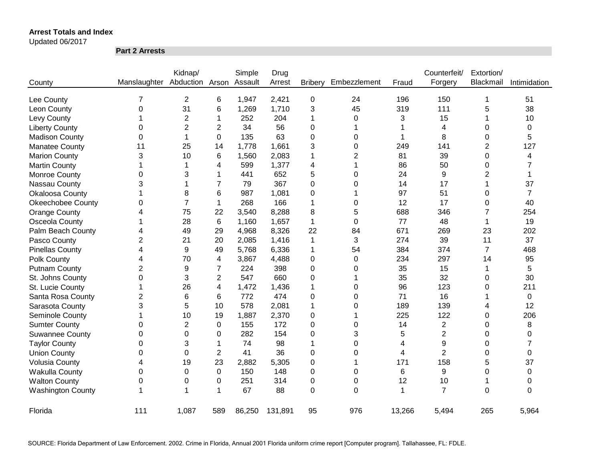Updated 06/2017

**Part 2 Arrests**

|                          |                | Kidnap/         |                | Simple  | Drug    |                |                |        | Counterfeit/   | Extortion/     |                |
|--------------------------|----------------|-----------------|----------------|---------|---------|----------------|----------------|--------|----------------|----------------|----------------|
| County                   | Manslaughter   | Abduction Arson |                | Assault | Arrest  | <b>Bribery</b> | Embezzlement   | Fraud  | Forgery        | Blackmail      | Intimidation   |
| Lee County               | 7              | $\overline{2}$  | 6              | 1,947   | 2,421   | $\pmb{0}$      | 24             | 196    | 150            | 1              | 51             |
| Leon County              | 0              | 31              | 6              | 1,269   | 1,710   | 3              | 45             | 319    | 111            | 5              | 38             |
| Levy County              |                | $\overline{2}$  | 1              | 252     | 204     | 1              | 0              | 3      | 15             |                | 10             |
| <b>Liberty County</b>    | 0              | $\overline{2}$  | 2              | 34      | 56      | 0              |                |        | 4              | 0              | 0              |
| <b>Madison County</b>    | 0              | 1               | 0              | 135     | 63      | 0              | 0              |        | 8              | 0              | 5              |
| <b>Manatee County</b>    | 11             | 25              | 14             | 1,778   | 1,661   | 3              | 0              | 249    | 141            | $\overline{c}$ | 127            |
| <b>Marion County</b>     | 3              | 10              | 6              | 1,560   | 2,083   | 1              | $\overline{2}$ | 81     | 39             | 0              | 4              |
| <b>Martin County</b>     | 1              |                 | 4              | 599     | 1,377   | 4              | 1              | 86     | 50             | 0              | 7              |
| Monroe County            | 0              | 3               | 1              | 441     | 652     | 5              | 0              | 24     | 9              | 2              |                |
| Nassau County            | 3              |                 | 7              | 79      | 367     | 0              | 0              | 14     | 17             |                | 37             |
| Okaloosa County          |                | 8               | 6              | 987     | 1,081   | 0              |                | 97     | 51             | 0              | $\overline{7}$ |
| <b>Okeechobee County</b> | 0              | $\overline{7}$  | $\mathbf{1}$   | 268     | 166     | 1              | 0              | 12     | 17             | 0              | 40             |
| Orange County            | 4              | 75              | 22             | 3,540   | 8,288   | 8              | 5              | 688    | 346            | 7              | 254            |
| Osceola County           | 1              | 28              | 6              | 1,160   | 1,657   | 1              | 0              | 77     | 48             | 1              | 19             |
| Palm Beach County        | 4              | 49              | 29             | 4,968   | 8,326   | 22             | 84             | 671    | 269            | 23             | 202            |
| Pasco County             | 2              | 21              | 20             | 2,085   | 1,416   | 1              | 3              | 274    | 39             | 11             | 37             |
| <b>Pinellas County</b>   | 4              | 9               | 49             | 5,768   | 6,336   | 1              | 54             | 384    | 374            | $\overline{7}$ | 468            |
| Polk County              | 4              | 70              | 4              | 3,867   | 4,488   | 0              | 0              | 234    | 297            | 14             | 95             |
| <b>Putnam County</b>     | $\overline{2}$ | 9               | 7              | 224     | 398     | 0              | 0              | 35     | 15             | 1              | 5              |
| St. Johns County         | 0              | 3               | $\overline{2}$ | 547     | 660     | 0              | 1              | 35     | 32             | 0              | 30             |
| St. Lucie County         | 1              | 26              | 4              | 1,472   | 1,436   | 1              | 0              | 96     | 123            | 0              | 211            |
| Santa Rosa County        | $\overline{2}$ | 6               | 6              | 772     | 474     | 0              | 0              | 71     | 16             |                | 0              |
| Sarasota County          | 3              | 5               | 10             | 578     | 2,081   | 1              | 0              | 189    | 139            | 4              | 12             |
| Seminole County          |                | 10              | 19             | 1,887   | 2,370   | 0              |                | 225    | 122            | 0              | 206            |
| <b>Sumter County</b>     | 0              | $\overline{2}$  | 0              | 155     | 172     | 0              | 0              | 14     | $\overline{2}$ | 0              | 8              |
| <b>Suwannee County</b>   | 0              | 0               | $\Omega$       | 282     | 154     | 0              | 3              | 5      | $\overline{2}$ | 0              | 0              |
| <b>Taylor County</b>     | 0              | 3               | 1              | 74      | 98      | 1              | $\Omega$       | 4      | 9              | 0              |                |
| <b>Union County</b>      | 0              | 0               | $\overline{2}$ | 41      | 36      | 0              | 0              | 4      | $\overline{2}$ | 0              | 0              |
| <b>Volusia County</b>    | 4              | 19              | 23             | 2,882   | 5,305   | 0              | 1              | 171    | 158            | 5              | 37             |
| Wakulla County           | 0              | 0               | $\mathbf 0$    | 150     | 148     | 0              | 0              | 6      | 9              | 0              | 0              |
| <b>Walton County</b>     | 0              | 0               | 0              | 251     | 314     | 0              | 0              | 12     | 10             | 1              | 0              |
| <b>Washington County</b> |                | 1               | 1              | 67      | 88      | $\overline{0}$ | $\Omega$       | 1      | $\overline{7}$ | $\overline{0}$ | $\Omega$       |
| Florida                  | 111            | 1,087           | 589            | 86,250  | 131,891 | 95             | 976            | 13,266 | 5,494          | 265            | 5,964          |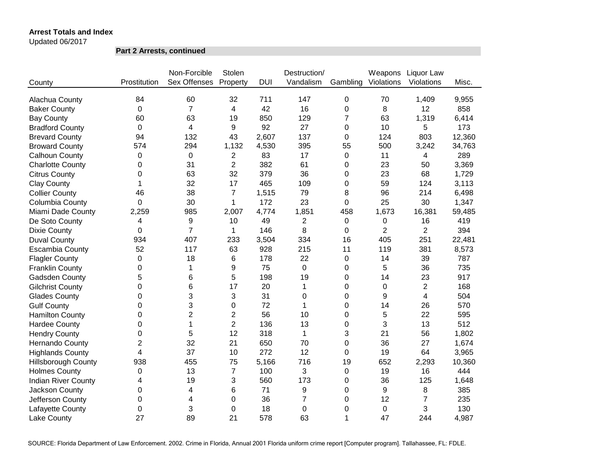Updated 06/2017

**Part 2 Arrests, continued**

|                            |                | Non-Forcible        | Stolen         |            | Destruction/     |              | Weapons        | Liquor Law     |        |
|----------------------------|----------------|---------------------|----------------|------------|------------------|--------------|----------------|----------------|--------|
| County                     | Prostitution   | <b>Sex Offenses</b> | Property       | <b>DUI</b> | Vandalism        | Gambling     | Violations     | Violations     | Misc.  |
|                            |                |                     |                |            |                  |              |                |                |        |
| Alachua County             | 84             | 60                  | 32             | 711        | 147              | 0            | 70             | 1,409          | 9,955  |
| <b>Baker County</b>        | 0              | $\overline{7}$      | 4              | 42         | 16               | 0            | 8              | 12             | 858    |
| <b>Bay County</b>          | 60             | 63                  | 19             | 850        | 129              | 7            | 63             | 1,319          | 6,414  |
| <b>Bradford County</b>     | 0              | 4                   | 9              | 92         | 27               | 0            | 10             | 5              | 173    |
| <b>Brevard County</b>      | 94             | 132                 | 43             | 2,607      | 137              | 0            | 124            | 803            | 12,360 |
| <b>Broward County</b>      | 574            | 294                 | 1,132          | 4,530      | 395              | 55           | 500            | 3,242          | 34,763 |
| Calhoun County             | $\mathbf 0$    | 0                   | $\overline{2}$ | 83         | 17               | 0            | 11             | 4              | 289    |
| <b>Charlotte County</b>    | 0              | 31                  | 2              | 382        | 61               | 0            | 23             | 50             | 3,369  |
| <b>Citrus County</b>       | 0              | 63                  | 32             | 379        | 36               | 0            | 23             | 68             | 1,729  |
| <b>Clay County</b>         | 1              | 32                  | 17             | 465        | 109              | 0            | 59             | 124            | 3,113  |
| <b>Collier County</b>      | 46             | 38                  | $\overline{7}$ | 1,515      | 79               | 8            | 96             | 214            | 6,498  |
| Columbia County            | 0              | 30                  | 1              | 172        | 23               | 0            | 25             | 30             | 1,347  |
| Miami Dade County          | 2,259          | 985                 | 2,007          | 4,774      | 1,851            | 458          | 1,673          | 16,381         | 59,485 |
| De Soto County             | 4              | 9                   | 10             | 49         | $\overline{2}$   | 0            | 0              | 16             | 419    |
| <b>Dixie County</b>        | $\Omega$       | $\overline{7}$      | 1              | 146        | 8                | 0            | $\overline{2}$ | $\overline{2}$ | 394    |
| <b>Duval County</b>        | 934            | 407                 | 233            | 3,504      | 334              | 16           | 405            | 251            | 22,481 |
| <b>Escambia County</b>     | 52             | 117                 | 63             | 928        | 215              | 11           | 119            | 381            | 8,573  |
| <b>Flagler County</b>      | $\Omega$       | 18                  | 6              | 178        | 22               | 0            | 14             | 39             | 787    |
| <b>Franklin County</b>     | $\mathbf 0$    | 1                   | 9              | 75         | $\mathbf 0$      | 0            | 5              | 36             | 735    |
| <b>Gadsden County</b>      | 5              | 6                   | 5              | 198        | 19               | 0            | 14             | 23             | 917    |
| <b>Gilchrist County</b>    | 0              | 6                   | 17             | 20         | $\mathbf{1}$     | 0            | 0              | $\overline{c}$ | 168    |
| <b>Glades County</b>       | $\Omega$       | 3                   | 3              | 31         | $\mathbf 0$      | 0            | 9              | $\overline{4}$ | 504    |
| <b>Gulf County</b>         | 0              | 3                   | 0              | 72         | 1                | 0            | 14             | 26             | 570    |
| <b>Hamilton County</b>     | 0              | $\overline{2}$      | $\overline{c}$ | 56         | 10               | 0            | 5              | 22             | 595    |
| <b>Hardee County</b>       | $\Omega$       | 1                   | $\overline{2}$ | 136        | 13               | 0            | 3              | 13             | 512    |
| <b>Hendry County</b>       | 0              | 5                   | 12             | 318        | 1                | 3            | 21             | 56             | 1,802  |
| Hernando County            | $\overline{2}$ | 32                  | 21             | 650        | 70               | 0            | 36             | 27             | 1,674  |
| <b>Highlands County</b>    | 4              | 37                  | 10             | 272        | 12               | 0            | 19             | 64             | 3,965  |
| <b>Hillsborough County</b> | 938            | 455                 | 75             | 5,166      | 716              | 19           | 652            | 2,293          | 10,360 |
| <b>Holmes County</b>       | 0              | 13                  | $\overline{7}$ | 100        | 3                | 0            | 19             | 16             | 444    |
| <b>Indian River County</b> | 4              | 19                  | 3              | 560        | 173              | 0            | 36             | 125            | 1,648  |
| Jackson County             | 0              | 4                   | 6              | 71         | 9                | 0            | 9              | 8              | 385    |
| Jefferson County           | 0              | 4                   | 0              | 36         | 7                | 0            | 12             | $\overline{7}$ | 235    |
| Lafayette County           | 0              | 3                   | 0              | 18         | $\boldsymbol{0}$ | 0            | 0              | 3              | 130    |
| Lake County                | 27             | 89                  | 21             | 578        | 63               | $\mathbf{1}$ | 47             | 244            | 4,987  |